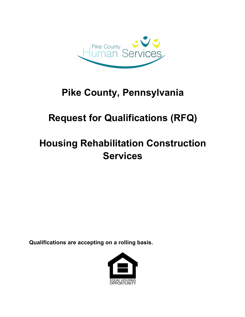

## **Pike County, Pennsylvania**

## **Request for Qualifications (RFQ)**

# **Housing Rehabilitation Construction Services**

**Qualifications are accepting on a rolling basis.**

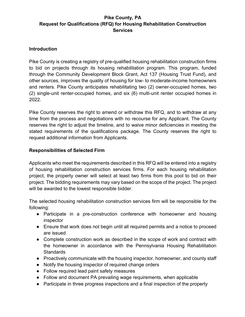## **Introduction**

Pike County is creating a registry of pre-qualified housing rehabilitation construction firms to bid on projects through its housing rehabilitation program. This program, funded through the Community Development Block Grant, Act 137 (Housing Trust Fund), and other sources, improves the quality of housing for low- to moderate-income homeowners and renters. Pike County anticipates rehabilitating two (2) owner-occupied homes, two (2) single-unit renter-occupied homes, and six (6) multi-unit renter occupied homes in 2022.

Pike County reserves the right to amend or withdraw this RFQ, and to withdraw at any time from the process and negotiations with no recourse for any Applicant. The County reserves the right to adjust the timeline, and to waive minor deficiencies in meeting the stated requirements of the qualifications package. The County reserves the right to request additional information from Applicants.

## **Responsibilities of Selected Firm**

Applicants who meet the requirements described in this RFQ will be entered into a registry of housing rehabilitation construction services firms. For each housing rehabilitation project, the property owner will select at least two firms from this pool to bid on their project. The bidding requirements may vary based on the scope of the project. The project will be awarded to the lowest responsible bidder.

The selected housing rehabilitation construction services firm will be responsible for the following:

- Participate in a pre-construction conference with homeowner and housing inspector
- Ensure that work does not begin until all required permits and a notice to proceed are issued
- Complete construction work as described in the scope of work and contract with the homeowner in accordance with the Pennsylvania Housing Rehabilitation **Standards**
- Proactively communicate with the housing inspector, homeowner, and county staff
- Notify the housing inspector of required change orders
- Follow required lead paint safety measures
- Follow and document PA prevailing wage requirements, when applicable
- Participate in three progress inspections and a final inspection of the property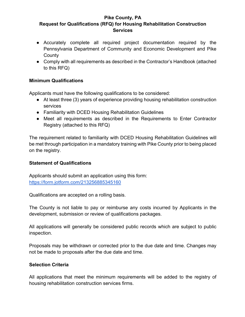- Accurately complete all required project documentation required by the Pennsylvania Department of Community and Economic Development and Pike **County**
- Comply with all requirements as described in the Contractor's Handbook (attached to this RFQ)

## **Minimum Qualifications**

Applicants must have the following qualifications to be considered:

- At least three (3) years of experience providing housing rehabilitation construction services
- Familiarity with DCED Housing Rehabilitation Guidelines
- Meet all requirements as described in the Requirements to Enter Contractor Registry (attached to this RFQ)

The requirement related to familiarity with DCED Housing Rehabilitation Guidelines will be met through participation in a mandatory training with Pike County prior to being placed on the registry.

## **Statement of Qualifications**

Applicants should submit an application using this form: https://form.jotform.com/213256885345160

Qualifications are accepted on a rolling basis.

The County is not liable to pay or reimburse any costs incurred by Applicants in the development, submission or review of qualifications packages.

All applications will generally be considered public records which are subject to public inspection.

Proposals may be withdrawn or corrected prior to the due date and time. Changes may not be made to proposals after the due date and time.

## **Selection Criteria**

All applications that meet the minimum requirements will be added to the registry of housing rehabilitation construction services firms.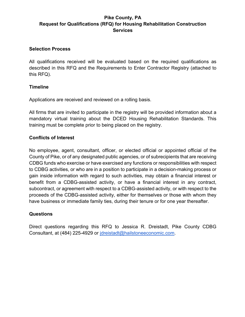#### **Selection Process**

All qualifications received will be evaluated based on the required qualifications as described in this RFQ and the Requirements to Enter Contractor Registry (attached to this RFQ).

#### **Timeline**

Applications are received and reviewed on a rolling basis.

All firms that are invited to participate in the registry will be provided information about a mandatory virtual training about the DCED Housing Rehabilitation Standards. This training must be complete prior to being placed on the registry.

#### **Conflicts of Interest**

No employee, agent, consultant, officer, or elected official or appointed official of the County of Pike, or of any designated public agencies, or of subrecipients that are receiving CDBG funds who exercise or have exercised any functions or responsibilities with respect to CDBG activities, or who are in a position to participate in a decision-making process or gain inside information with regard to such activities, may obtain a financial interest or benefit from a CDBG-assisted activity, or have a financial interest in any contract, subcontract, or agreement with respect to a CDBG-assisted activity, or with respect to the proceeds of the CDBG-assisted activity, either for themselves or those with whom they have business or immediate family ties, during their tenure or for one year thereafter.

#### **Questions**

Direct questions regarding this RFQ to Jessica R. Dreistadt, Pike County CDBG Consultant, at (484) 225-4929 or jdreistadt@hailstoneeconomic.com.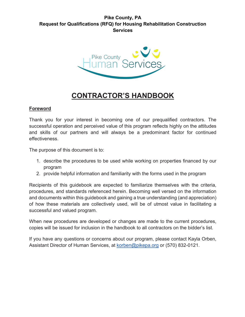

## **CONTRACTOR'S HANDBOOK**

## **Foreword**

Thank you for your interest in becoming one of our prequalified contractors. The successful operation and perceived value of this program reflects highly on the attitudes and skills of our partners and will always be a predominant factor for continued effectiveness.

The purpose of this document is to:

- 1. describe the procedures to be used while working on properties financed by our program
- 2. provide helpful information and familiarity with the forms used in the program

Recipients of this guidebook are expected to familiarize themselves with the criteria, procedures, and standards referenced herein. Becoming well versed on the information and documents within this guidebook and gaining a true understanding (and appreciation) of how these materials are collectively used, will be of utmost value in facilitating a successful and valued program.

When new procedures are developed or changes are made to the current procedures, copies will be issued for inclusion in the handbook to all contractors on the bidder's list.

If you have any questions or concerns about our program, please contact Kayla Orben, Assistant Director of Human Services, at korben@pikepa.org or (570) 832-0121.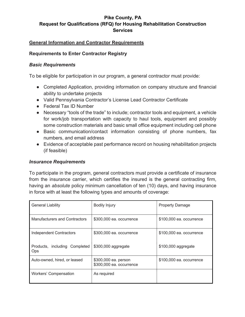## **General Information and Contractor Requirements**

#### **Requirements to Enter Contractor Registry**

#### *Basic Requirements*

To be eligible for participation in our program, a general contractor must provide:

- Completed Application, providing information on company structure and financial ability to undertake projects
- Valid Pennsylvania Contractor's License Lead Contractor Certificate
- Federal Tax ID Number
- Necessary "tools of the trade" to include; contractor tools and equipment, a vehicle for work/job transportation with capacity to haul tools, equipment and possibly some construction materials and basic small office equipment including cell phone
- Basic communication/contact information consisting of phone numbers, fax numbers, and email address
- Evidence of acceptable past performance record on housing rehabilitation projects (if feasible)

#### *Insurance Requirements*

To participate in the program, general contractors must provide a certificate of insurance from the insurance carrier, which certifies the insured is the general contracting firm, having an *absolute* policy minimum cancellation of ten (10) days, and having insurance in force with at least the following types and amounts of coverage:

| <b>General Liability</b>                    | <b>Bodily Injury</b>                             | <b>Property Damage</b>   |
|---------------------------------------------|--------------------------------------------------|--------------------------|
| <b>Manufacturers and Contractors</b>        | \$300,000 ea. occurrence                         | \$100,000 ea. occurrence |
| <b>Independent Contractors</b>              | \$300,000 ea. occurrence                         | \$100,000 ea. occurrence |
| Products, including Completed<br><b>Ops</b> | \$300,000 aggregate                              | \$100,000 aggregate      |
| Auto-owned, hired, or leased                | \$300,000 ea. person<br>\$300,000 ea. occurrence | \$100,000 ea. occurrence |
| Workers' Compensation                       | As required                                      |                          |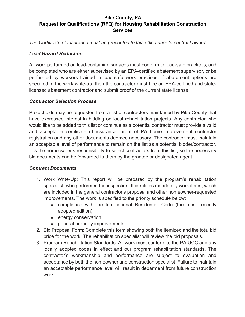*The Certificate of Insurance must be presented to this office prior to contract award.*

## *Lead Hazard Reduction*

All work performed on lead-containing surfaces must conform to lead-safe practices, and be completed who are either supervised by an EPA-certified abatement supervisor, or be performed by workers trained in lead-safe work practices. If abatement options are specified in the work write-up, then the contractor must hire an EPA-certified and statelicensed abatement contractor and submit proof of the current state license.

## *Contractor Selection Process*

Project bids may be requested from a list of contractors maintained by Pike County that have expressed interest in bidding on local rehabilitation projects. Any contractor who would like to be added to this list or continue as a potential contractor must provide a valid and acceptable certificate of insurance, proof of PA home improvement contractor registration and any other documents deemed necessary. The contractor must maintain an acceptable level of performance to remain on the list as a potential bidder/contractor. It is the homeowner's responsibility to select contractors from this list, so the necessary bid documents can be forwarded to them by the grantee or designated agent.

## *Contract Documents*

- 1. Work Write-Up: This report will be prepared by the program's rehabilitation specialist, who performed the inspection. It identifies mandatory work items, which are included in the general contractor's proposal and other homeowner-requested improvements. The work is specified to the priority schedule below:
	- compliance with the International Residential Code (the most recently adopted edition)
	- energy conservation
	- general property improvements
- 2. Bid Proposal Form: Complete this form showing both the itemized and the total bid price for the work. The rehabilitation specialist will review the bid proposals.
- 3. Program Rehabilitation Standards: All work must conform to the PA UCC and any locally adopted codes in effect and our program rehabilitation standards. The contractor's workmanship and performance are subject to evaluation and acceptance by both the homeowner and construction specialist. Failure to maintain an acceptable performance level will result in debarment from future construction work.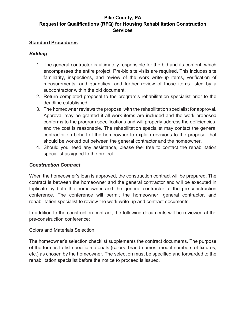#### **Standard Procedures**

## *Bidding*

- 1. The general contractor is ultimately responsible for the bid and its content, which encompasses the entire project. Pre-bid site visits are required. This includes site familiarity, inspections, and review of the work write-up items, verification of measurements, and quantities, and further review of those items listed by a subcontractor within the bid document.
- 2. Return completed proposal to the program's rehabilitation specialist prior to the deadline established.
- 3. The homeowner reviews the proposal with the rehabilitation specialist for approval. Approval may be granted if all work items are included and the work proposed conforms to the program specifications and will properly address the deficiencies, and the cost is reasonable. The rehabilitation specialist may contact the general contractor on behalf of the homeowner to explain revisions to the proposal that should be worked out between the general contractor and the homeowner.
- 4. Should you need any assistance, please feel free to contact the rehabilitation specialist assigned to the project.

## *Construction Contract*

When the homeowner's loan is approved, the construction contract will be prepared. The contract is between the homeowner and the general contractor and will be executed in triplicate by both the homeowner and the general contractor at the pre-construction conference. The conference will permit the homeowner, general contractor, and rehabilitation specialist to review the work write-up and contract documents.

In addition to the construction contract, the following documents will be reviewed at the pre-construction conference:

#### Colors and Materials Selection

The homeowner's selection checklist supplements the contract documents. The purpose of the form is to list specific materials (colors, brand names, model numbers of fixtures, etc.) as chosen by the homeowner. The selection must be specified and forwarded to the rehabilitation specialist before the notice to proceed is issued.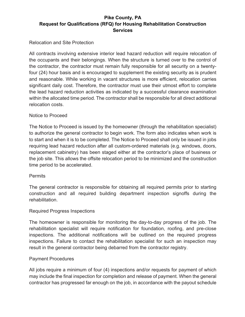## Relocation and Site Protection

All contracts involving extensive interior lead hazard reduction will require relocation of the occupants and their belongings. When the structure is turned over to the control of the contractor, the contractor must remain fully responsible for all security on a twentyfour (24) hour basis and is encouraged to supplement the existing security as is prudent and reasonable. While working in vacant structures is more efficient, relocation carries significant daily cost. Therefore, the contractor must use their utmost effort to complete the lead hazard reduction activities as indicated by a successful clearance examination within the allocated time period. The contractor shall be responsible for all direct additional relocation costs.

#### Notice to Proceed

The Notice to Proceed is issued by the homeowner (through the rehabilitation specialist) to authorize the general contractor to begin work. The form also indicates when work is to start and when it is to be completed. The Notice to Proceed shall only be issued in jobs requiring lead hazard reduction after all custom-ordered materials (e.g. windows, doors, replacement cabinetry) has been staged either at the contractor's place of business or the job site. This allows the offsite relocation period to be minimized and the construction time period to be accelerated.

#### **Permits**

The general contractor is responsible for obtaining all required permits prior to starting construction and all required building department inspection signoffs during the rehabilitation.

#### Required Progress Inspections

The homeowner is responsible for monitoring the day-to-day progress of the job. The rehabilitation specialist will require notification for foundation, roofing, and pre-close inspections. The additional notifications will be outlined on the required progress inspections. Failure to contact the rehabilitation specialist for such an inspection may result in the general contractor being debarred from the contractor registry.

#### Payment Procedures

All jobs require a minimum of four (4) inspections and/or requests for payment of which may include the final inspection for completion and release of payment. When the general contractor has progressed far enough on the job, in accordance with the payout schedule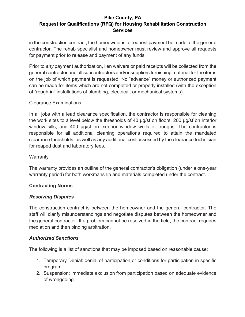in the construction contract, the homeowner is to request payment be made to the general contractor. The rehab specialist and homeowner must review and approve all requests for payment prior to release and payment of any funds.

Prior to *any* payment authorization, lien waivers or paid receipts will be collected from the general contractor and all subcontractors and/or suppliers furnishing material for the items on the job of which payment is requested. No "advance" money or authorized payment can be made for items which are not completed or properly installed (with the exception of "rough-in" installations of plumbing, electrical, or mechanical systems).

## Clearance Examinations

In all jobs with a lead clearance specification, the contractor is responsible for cleaning the work sites to a level below the thresholds of 40 μg/sf on floors, 200 μg/sf on interior window sills, and 400 µg/sf on exterior window wells or troughs. The contractor is responsible for all additional cleaning operations required to attain the mandated clearance thresholds, as well as any additional cost assessed by the clearance technician for reaped dust and laboratory fees.

#### **Warranty**

The warranty provides an outline of the general contractor's obligation (under a one-year warranty period) for both workmanship and materials completed under the contract.

#### **Contracting Norms**

#### *Resolving Disputes*

The construction contract is between the homeowner and the general contractor. The staff will clarify misunderstandings and negotiate disputes between the homeowner and the general contractor. If a problem cannot be resolved in the field, the contract requires mediation and then binding arbitration.

#### *Authorized Sanctions*

The following is a list of sanctions that may be imposed based on reasonable cause:

- 1. Temporary Denial: denial of participation or conditions for participation in specific program
- 2. Suspension: immediate exclusion from participation based on adequate evidence of wrongdoing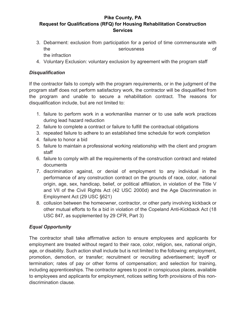- 3. Debarment: exclusion from participation for a period of time commensurate with the seriousness of the infraction
- 4. Voluntary Exclusion: voluntary exclusion by agreement with the program staff

## *Disqualification*

If the contractor fails to comply with the program requirements, or in the judgment of the program staff does not perform satisfactory work, the contractor will be disqualified from the program and unable to secure a rehabilitation contract. The reasons for disqualification include, but are not limited to:

- 1. failure to perform work in a workmanlike manner or to use safe work practices during lead hazard reduction
- 2. failure to complete a contract or failure to fulfill the contractual obligations
- 3. repeated failure to adhere to an established time schedule for work completion
- 4. failure to honor a bid
- 5. failure to maintain a professional working relationship with the client and program staff
- 6. failure to comply with all the requirements of the construction contract and related documents
- 7. discrimination against, or denial of employment to any individual in the performance of any construction contract on the grounds of race, color, national origin, age, sex, handicap, belief, or political affiliation, in violation of the Title V and VII of the Civil Rights Act (42 USC 2000d) and the Age Discrimination in Employment Act (29 USC §621)
- 8. collusion between the homeowner, contractor, or other party involving kickback or other mutual efforts to fix a bid in violation of the Copeland Anti-Kickback Act (18 USC 847, as supplemented by 29 CFR, Part 3)

## *Equal Opportunity*

The contractor shall take affirmative action to ensure employees and applicants for employment are treated without regard to their race, color, religion, sex, national origin, age, or disability. Such action shall include but is not limited to the following: employment, promotion, demotion, or transfer; recruitment or recruiting advertisement; layoff or termination; rates of pay or other forms of compensation; and selection for training, including apprenticeships. The contractor agrees to post in conspicuous places, available to employees and applicants for employment, notices setting forth provisions of this nondiscrimination clause.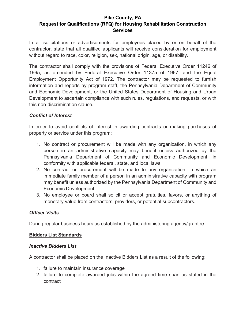In all solicitations or advertisements for employees placed by or on behalf of the contractor, state that all qualified applicants will receive consideration for employment without regard to race, color, religion, sex, national origin, age, or disability.

The contractor shall comply with the provisions of Federal Executive Order 11246 of 1965, as amended by Federal Executive Order 11375 of 1967, and the Equal Employment Opportunity Act of 1972. The contractor may be requested to furnish information and reports by program staff, the Pennsylvania Department of Community and Economic Development, or the United States Department of Housing and Urban Development to ascertain compliance with such rules, regulations, and requests, or with this non-discrimination clause.

## *Conflict of Interest*

In order to avoid conflicts of interest in awarding contracts or making purchases of property or service under this program:

- 1. No contract or procurement will be made with any organization, in which any person in an administrative capacity may benefit unless authorized by the Pennsylvania Department of Community and Economic Development, in conformity with applicable federal, state, and local laws.
- 2. No contract or procurement will be made to any organization, in which an immediate family member of a person in an administrative capacity with program may benefit unless authorized by the Pennsylvania Department of Community and Economic Development.
- 3. No employee or board shall solicit or accept gratuities, favors, or anything of monetary value from contractors, providers, or potential subcontractors.

#### *Officer Visits*

During regular business hours as established by the administering agency/grantee.

#### **Bidders List Standards**

#### *Inactive Bidders List*

A contractor shall be placed on the Inactive Bidders List as a result of the following:

- 1. failure to maintain insurance coverage
- 2. failure to complete awarded jobs within the agreed time span as stated in the contract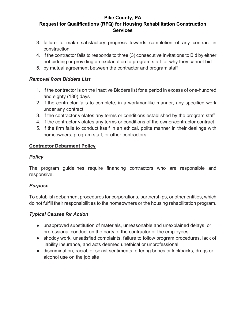- 3. failure to make satisfactory progress towards completion of any contract in construction
- 4. if the contractor fails to responds to three (3) consecutive Invitations to Bid by either not bidding or providing an explanation to program staff for why they cannot bid
- 5. by mutual agreement between the contractor and program staff

## *Removal from Bidders List*

- 1. if the contractor is on the Inactive Bidders list for a period in excess of one-hundred and eighty (180) days
- 2. if the contractor fails to complete, in a workmanlike manner, any specified work under any contract
- 3. if the contractor violates any terms or conditions established by the program staff
- 4. if the contractor violates any terms or conditions of the owner/contractor contract
- 5. if the firm fails to conduct itself in an ethical, polite manner in their dealings with homeowners, program staff, or other contractors

## **Contractor Debarment Policy**

## *Policy*

The program guidelines require financing contractors who are responsible and responsive.

## *Purpose*

To establish debarment procedures for corporations, partnerships, or other entities, which do not fulfill their responsibilities to the homeowners or the housing rehabilitation program.

## *Typical Causes for Action*

- unapproved substitution of materials, unreasonable and unexplained delays, or professional conduct on the party of the contractor or the employees
- shoddy work, unsatisfied complaints, failure to follow program procedures, lack of liability insurance, and acts deemed unethical or unprofessional
- discrimination, racial, or sexist sentiments, offering bribes or kickbacks, drugs or alcohol use on the job site